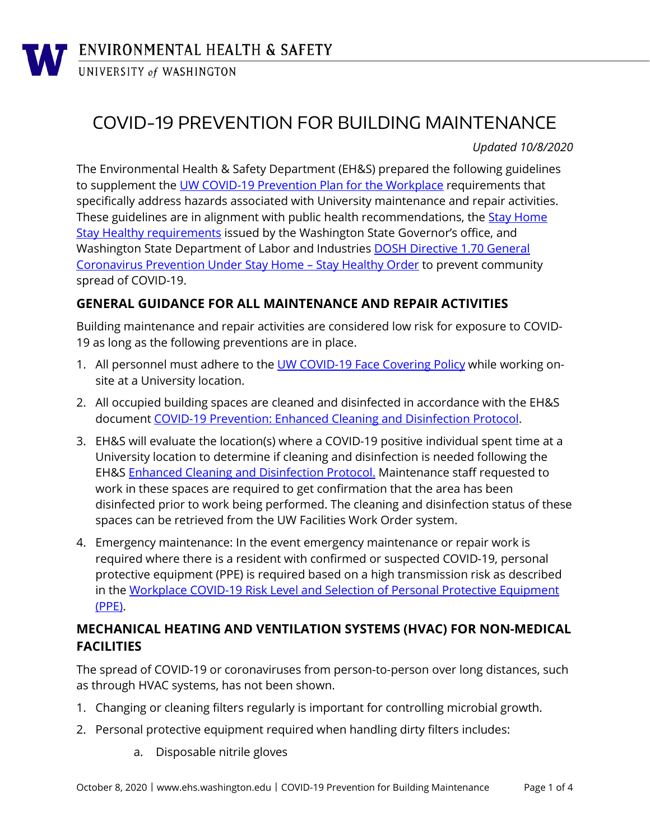# COVID-19 PREVENTION FOR BUILDING MAINTENANCE

*Updated 10/8/2020*

The Environmental Health & Safety Department (EH&S) prepared the following guidelines to supplement the [UW COVID-19 Prevention Plan for](https://www.ehs.washington.edu/system/files/resources/COVID-19-Prevention-Plan-for-the-Workplace.pdf) the Workplace requirements that specifically address hazards associated with University maintenance and repair activities. These guidelines are in alignment with public health recommendations, the [Stay Home](https://coronavirus.wa.gov/what-you-need-know/safe-start)  [Stay Healthy requirements](https://coronavirus.wa.gov/what-you-need-know/safe-start) issued by the Washington State Governor's office, and Washington State Department of Labor and Industries [DOSH Directive 1.70 General](https://lni.wa.gov/dA/36e85758be/DD170.pdf)  [Coronavirus Prevention Under Stay Home –](https://lni.wa.gov/dA/36e85758be/DD170.pdf) Stay Healthy Order to prevent community spread of COVID-19.

#### **GENERAL GUIDANCE FOR ALL MAINTENANCE AND REPAIR ACTIVITIES**

Building maintenance and repair activities are considered low risk for exposure to COVID-19 as long as the following preventions are in place.

- 1. All personnel must adhere to the [UW COVID-19 Face Covering Policy](https://www.ehs.washington.edu/system/files/resources/COVID-19-face-cover-policy.pdf) while working onsite at a University location.
- 2. All occupied building spaces are cleaned and disinfected in accordance with the EH&S document [COVID-19 Prevention: Enhanced Cleaning](https://www.ehs.washington.edu/system/files/resources/cleaning-disinfection-protocols-covid-19.pdf) and Disinfection Protocol.
- 3. EH&S will evaluate the location(s) where a COVID-19 positive individual spent time at a University location to determine if cleaning and disinfection is needed following the EH&S [Enhanced Cleaning and Disinfection Protocol.](https://www.ehs.washington.edu/system/files/resources/cleaning-disinfection-protocols-covid-19.pdf) Maintenance staff requested to work in these spaces are required to get confirmation that the area has been disinfected prior to work being performed. The cleaning and disinfection status of these spaces can be retrieved from the UW Facilities Work Order system.
- 4. Emergency maintenance: In the event emergency maintenance or repair work is required where there is a resident with confirmed or suspected COVID-19, personal protective equipment (PPE) is required based on a high transmission risk as described in the [Workplace COVID-19 Risk Level and Selection of Personal Protective Equipment](https://www.ehs.washington.edu/system/files/resources/COVID-19-risk-ppe-selection.pdf)  [\(PPE\).](https://www.ehs.washington.edu/system/files/resources/COVID-19-risk-ppe-selection.pdf)

## **MECHANICAL HEATING AND VENTILATION SYSTEMS (HVAC) FOR NON-MEDICAL FACILITIES**

The spread of COVID-19 or coronaviruses from person-to-person over long distances, such as through HVAC systems, has not been shown.

- 1. Changing or cleaning filters regularly is important for controlling microbial growth.
- 2. Personal protective equipment required when handling dirty filters includes:
	- a. Disposable nitrile gloves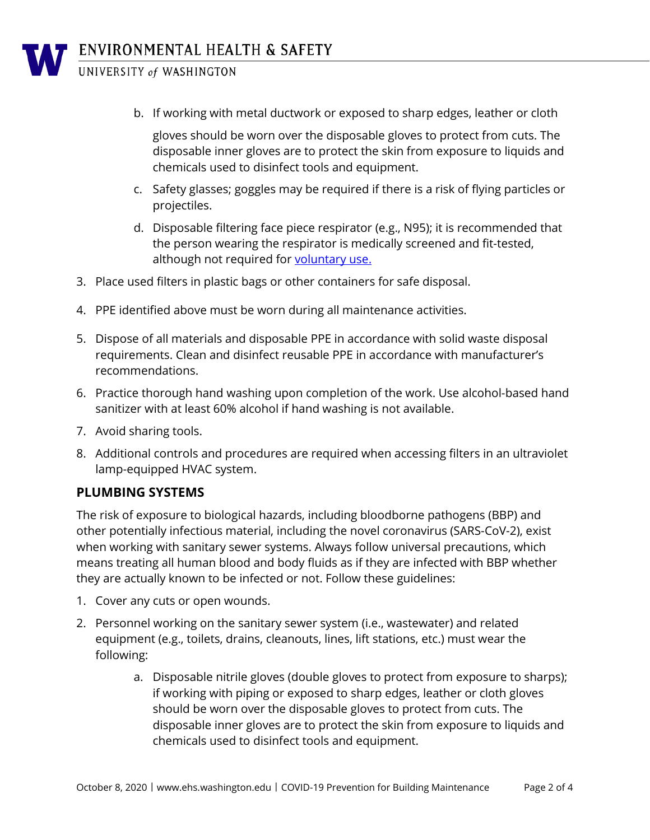UNIVERSITY of WASHINGTON

b. If working with metal ductwork or exposed to sharp edges, leather or cloth

gloves should be worn over the disposable gloves to protect from cuts. The disposable inner gloves are to protect the skin from exposure to liquids and chemicals used to disinfect tools and equipment.

- c. Safety glasses; goggles may be required if there is a risk of flying particles or projectiles.
- d. Disposable filtering face piece respirator (e.g., N95); it is recommended that the person wearing the respirator is medically screened and fit-tested, although not required for [voluntary use.](https://www.ehs.washington.edu/system/files/resources/voluntaryrespiratorform405.pdf)
- 3. Place used filters in plastic bags or other containers for safe disposal.
- 4. PPE identified above must be worn during all maintenance activities.
- 5. Dispose of all materials and disposable PPE in accordance with solid waste disposal requirements. Clean and disinfect reusable PPE in accordance with manufacturer's recommendations.
- 6. Practice thorough hand washing upon completion of the work. Use alcohol-based hand sanitizer with at least 60% alcohol if hand washing is not available.
- 7. Avoid sharing tools.
- 8. Additional controls and procedures are required when accessing filters in an ultraviolet lamp-equipped HVAC system.

#### **PLUMBING SYSTEMS**

The risk of exposure to biological hazards, including bloodborne pathogens (BBP) and other potentially infectious material, including the novel coronavirus (SARS-CoV-2), exist when working with sanitary sewer systems. Always follow universal precautions, which means treating all human blood and body fluids as if they are infected with BBP whether they are actually known to be infected or not. Follow these guidelines:

- 1. Cover any cuts or open wounds.
- 2. Personnel working on the sanitary sewer system (i.e., wastewater) and related equipment (e.g., toilets, drains, cleanouts, lines, lift stations, etc.) must wear the following:
	- a. Disposable nitrile gloves (double gloves to protect from exposure to sharps); if working with piping or exposed to sharp edges, leather or cloth gloves should be worn over the disposable gloves to protect from cuts. The disposable inner gloves are to protect the skin from exposure to liquids and chemicals used to disinfect tools and equipment.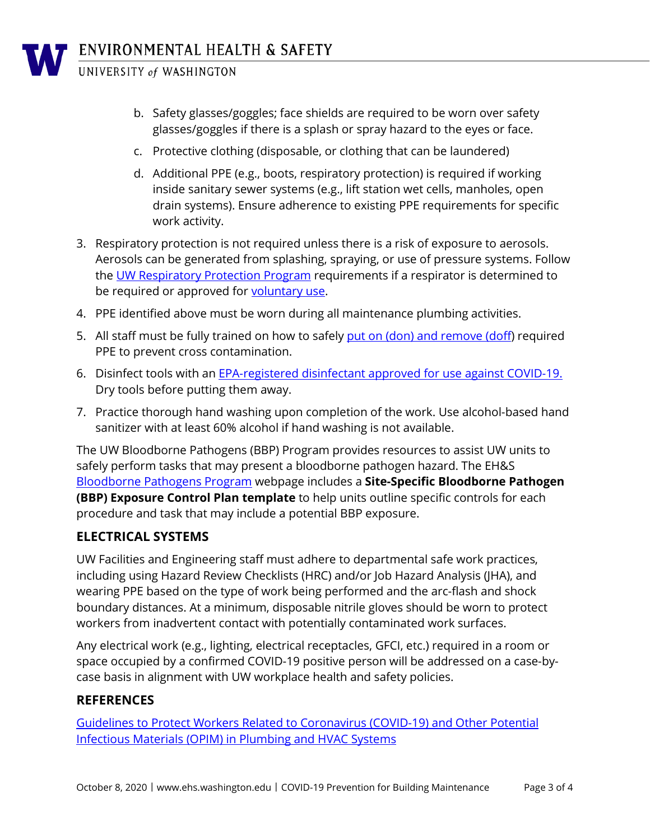

ENVIRONMENTAL HEALTH & SAFETY

UNIVERSITY of WASHINGTON

- b. Safety glasses/goggles; face shields are required to be worn over safety glasses/goggles if there is a splash or spray hazard to the eyes or face.
- c. Protective clothing (disposable, or clothing that can be laundered)
- d. Additional PPE (e.g., boots, respiratory protection) is required if working inside sanitary sewer systems (e.g., lift station wet cells, manholes, open drain systems). Ensure adherence to existing PPE requirements for specific work activity.
- 3. Respiratory protection is not required unless there is a risk of exposure to aerosols. Aerosols can be generated from splashing, spraying, or use of pressure systems. Follow the [UW Respiratory](https://www.ehs.washington.edu/workplace/respiratory-protection) Protection Program requirements if a respirator is determined to be required or approved for [voluntary use.](https://www.ehs.washington.edu/system/files/resources/voluntaryrespiratorform405.pdf)
- 4. PPE identified above must be worn during all maintenance plumbing activities.
- 5. All staff must be fully trained on how to safely [put on \(don\) and remove \(doff\)](https://www.cdc.gov/HAI/pdfs/ppe/ppeposter148.pdf) required PPE to prevent cross contamination.
- 6. Disinfect tools with an EPA-registered disinfectant [approved for use against COVID-19.](https://www.epa.gov/pesticide-registration/list-n-disinfectants-use-against-sars-cov-2) Dry tools before putting them away.
- 7. Practice thorough hand washing upon completion of the work. Use alcohol-based hand sanitizer with at least 60% alcohol if hand washing is not available.

The UW Bloodborne Pathogens (BBP) Program provides resources to assist UW units to safely perform tasks that may present a bloodborne pathogen hazard. The EH&S [Bloodborne Pathogens Program](https://www.ehs.washington.edu/biological/bloodborne-pathogens-bbp-program) webpage includes a **Site-Specific Bloodborne Pathogen (BBP) Exposure Control Plan template** to help units outline specific controls for each procedure and task that may include a potential BBP exposure.

## **ELECTRICAL SYSTEMS**

UW Facilities and Engineering staff must adhere to departmental safe work practices, including using Hazard Review Checklists (HRC) and/or Job Hazard Analysis (JHA), and wearing PPE based on the type of work being performed and the arc-flash and shock boundary distances. At a minimum, disposable nitrile gloves should be worn to protect workers from inadvertent contact with potentially contaminated work surfaces.

Any electrical work (e.g., lighting, electrical receptacles, GFCI, etc.) required in a room or space occupied by a confirmed COVID-19 positive person will be addressed on a case-bycase basis in alignment with UW workplace health and safety policies.

#### **REFERENCES**

[Guidelines to Protect Workers Related to Coronavirus \(COVID-19\) and Other Potential](http://www.ua.org/media/183743/GuidelinesWorkerHealthPlumbingHVACSystemsCOVID-19_1.pdf) [Infectious Materials \(OPIM\) in Plumbing and HVAC Systems](http://www.ua.org/media/183743/GuidelinesWorkerHealthPlumbingHVACSystemsCOVID-19_1.pdf)